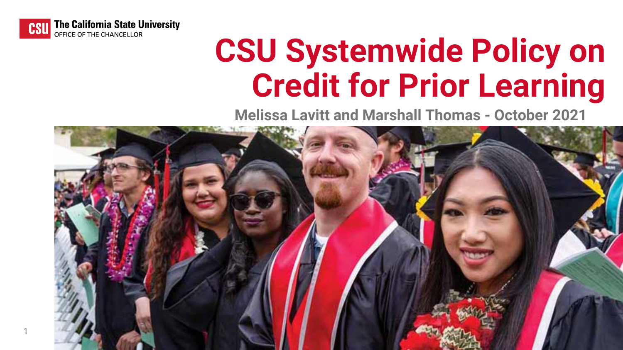## **CSU Systemwide Policy on Credit for Prior Learning Melissa Lavitt and Marshall Thomas - October 2021**





1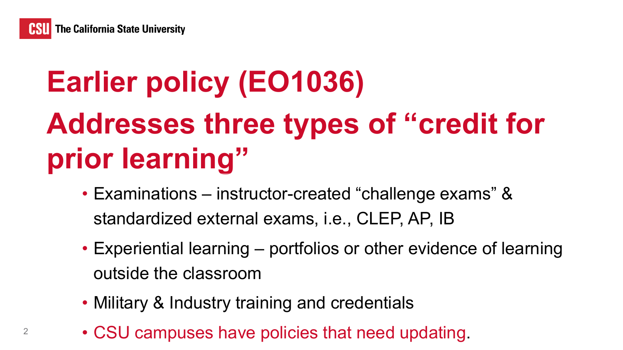

# **Earlier policy (EO1036) Addresses three types of "credit for prior learning"**

- Examinations instructor-created "challenge exams" & standardized external exams, i.e., CLEP, AP, IB
- Experiential learning portfolios or other evidence of learning outside the classroom
- Military & Industry training and credentials
- CSU campuses have policies that need updating.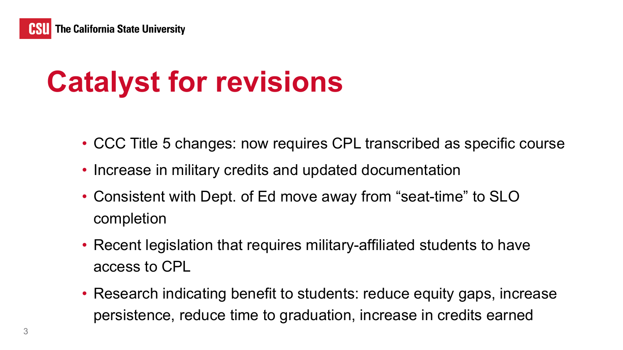# **Catalyst for revisions**

- CCC Title 5 changes: now requires CPL transcribed as specific course
- Increase in military credits and updated documentation
- Consistent with Dept. of Ed move away from "seat-time" to SLO completion
- Recent legislation that requires military-affiliated students to have access to CPL
- Research indicating benefit to students: reduce equity gaps, increase persistence, reduce time to graduation, increase in credits earned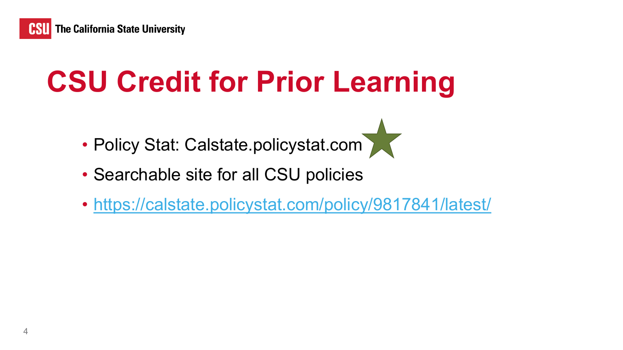

# **CSU Credit for Prior Learning**

- Policy Stat: Calstate.policystat.com
- Searchable site for all CSU policies
- <https://calstate.policystat.com/policy/9817841/latest/>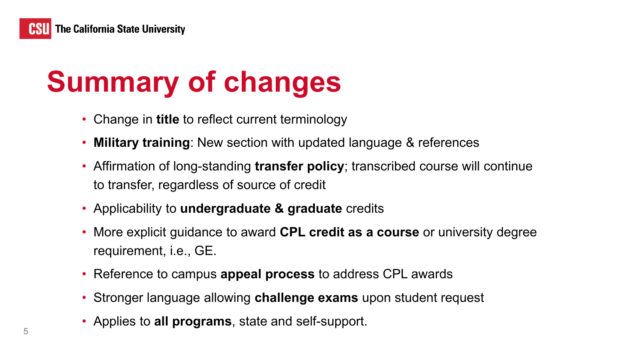

## **Summary of changes**

- Change in **title** to reflect current terminology
- **Military training**: New section with updated language & references
- Affirmation of long-standing **transfer policy**; transcribed course will continue to transfer, regardless of source of credit
- Applicability to **undergraduate & graduate** credits
- More explicit guidance to award **CPL credit as a course** or university degree requirement, i.e., GE.
- Reference to campus **appeal process** to address CPL awards
- Stronger language allowing **challenge exams** upon student request
- Applies to **all programs**, state and self-support.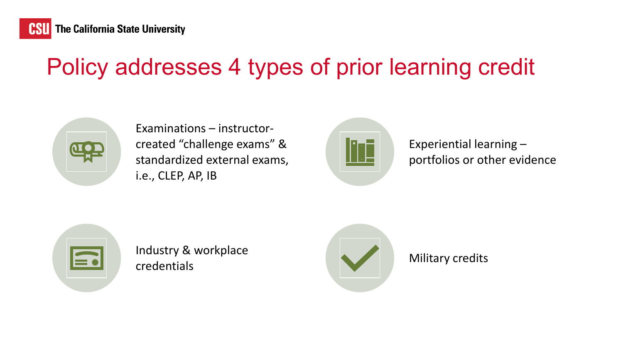## Policy addresses 4 types of prior learning credit



Examinations – instructorcreated "challenge exams" & standardized external exams, i.e., CLEP, AP, IB



Industry & workplace credentials and the Military credits and the Military credits



Experiential learning – portfolios or other evidence

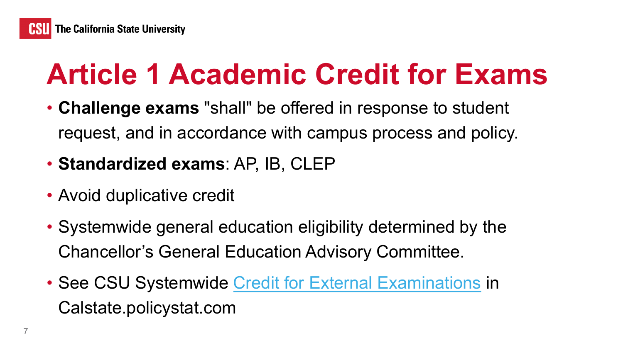## **Article 1 Academic Credit for Exams**

- **Challenge exams** "shall" be offered in response to student request, and in accordance with campus process and policy.
- **Standardized exams**: AP, IB, CLEP
- Avoid duplicative credit
- Systemwide general education eligibility determined by the Chancellor's General Education Advisory Committee.
- See CSU Systemwide [Credit for External Examinations](https://calstate.policystat.com/policy/9853539/latest/) in Calstate.policystat.com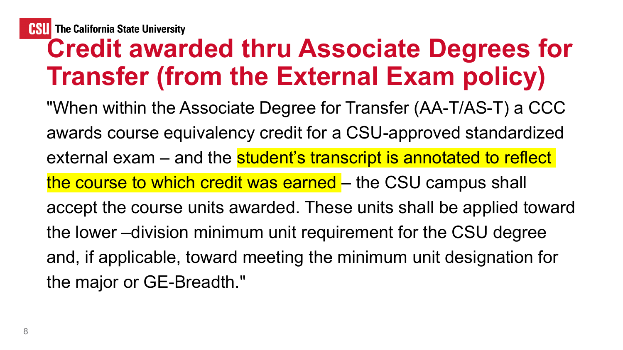## **Credit awarded thru Associate Degrees for Transfer (from the External Exam policy)**

"When within the Associate Degree for Transfer (AA-T/AS-T) a CCC awards course equivalency credit for a CSU-approved standardized external exam – and the student's transcript is annotated to reflect the course to which credit was earned – the CSU campus shall accept the course units awarded. These units shall be applied toward the lower –division minimum unit requirement for the CSU degree and, if applicable, toward meeting the minimum unit designation for the major or GE-Breadth."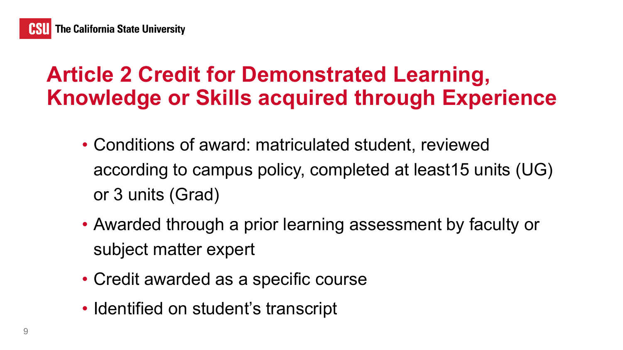## **Article 2 Credit for Demonstrated Learning, Knowledge or Skills acquired through Experience**

- Conditions of award: matriculated student, reviewed according to campus policy, completed at least15 units (UG) or 3 units (Grad)
- Awarded through a prior learning assessment by faculty or subject matter expert
- Credit awarded as a specific course
- Identified on student's transcript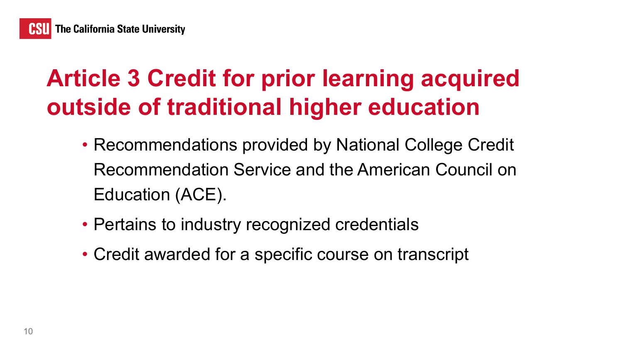## **Article 3 Credit for prior learning acquired outside of traditional higher education**

- Recommendations provided by National College Credit Recommendation Service and the American Council on Education (ACE).
- Pertains to industry recognized credentials
- Credit awarded for a specific course on transcript

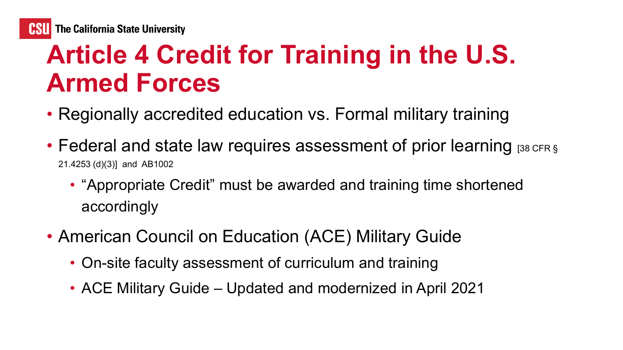## **Article 4 Credit for Training in the U.S. Armed Forces**

- Regionally accredited education vs. Formal military training
- Federal and state law requires assessment of prior learning [38 CFR § 21.4253 (d)(3)] and AB1002
	- "Appropriate Credit" must be awarded and training time shortened accordingly
- American Council on Education (ACE) Military Guide
	- On-site faculty assessment of curriculum and training
	- ACE Military Guide Updated and modernized in April 2021

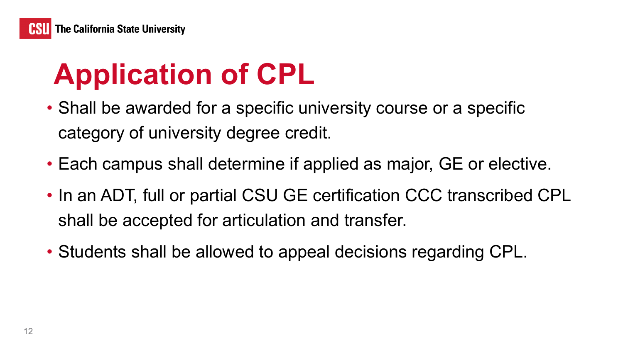# **Application of CPL**

- Shall be awarded for a specific university course or a specific category of university degree credit.
- Each campus shall determine if applied as major, GE or elective.
- In an ADT, full or partial CSU GE certification CCC transcribed CPL shall be accepted for articulation and transfer.
- Students shall be allowed to appeal decisions regarding CPL.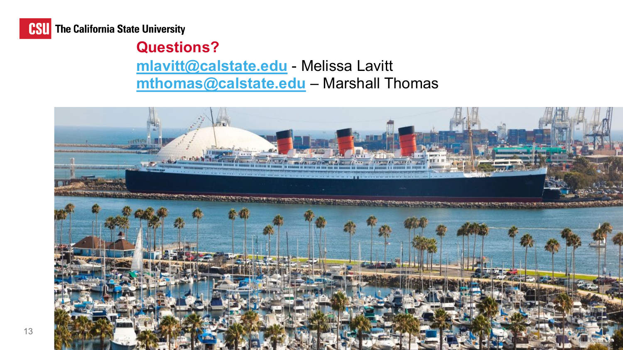

**CSU** The California State University

## **Questions? [mlavitt@calstate.edu](mailto:mlavitt@calstate.edu)** - Melissa Lavitt **[mthomas@calstate.edu](mailto:mthomas@calstate.edu)** – Marshall Thomas

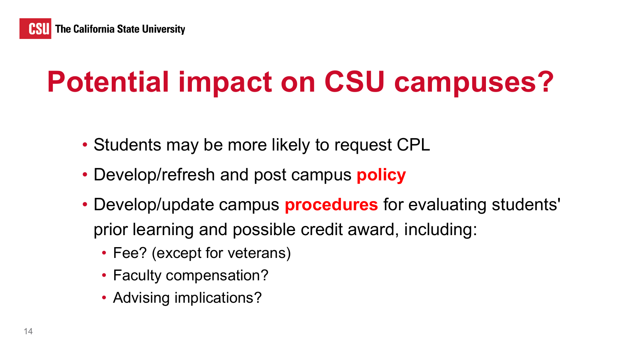

## **Potential impact on CSU campuses?**

- Students may be more likely to request CPL
- Develop/refresh and post campus **policy**
- Develop/update campus **procedures** for evaluating students' prior learning and possible credit award, including:
	- Fee? (except for veterans)
	- Faculty compensation?
	- Advising implications?